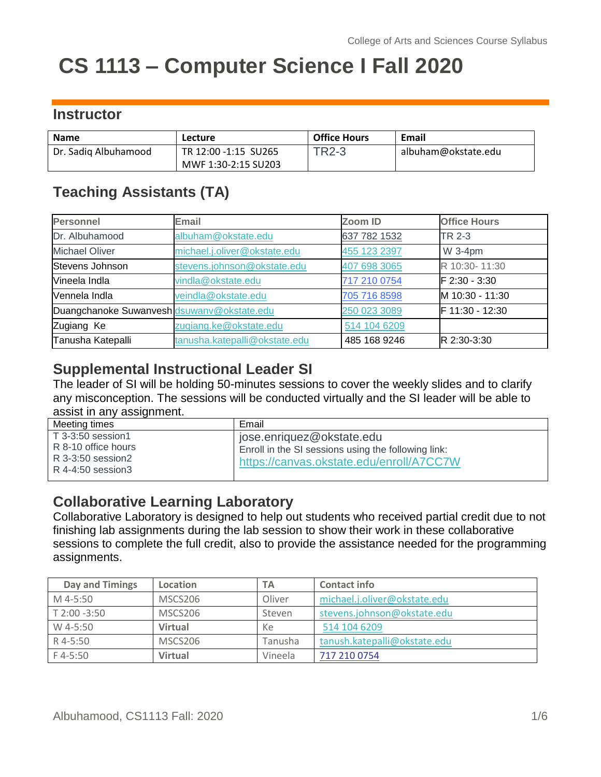# **CS 1113 – Computer Science I Fall 2020**

# **Instructor**

| <b>Name</b>          | <b>Lecture</b>       | <b>Office Hours</b> | <b>Email</b>        |
|----------------------|----------------------|---------------------|---------------------|
| Dr. Sadiq Albuhamood | TR 12:00 -1:15 SU265 | <b>TR2-3</b>        | albuham@okstate.edu |
|                      | MWF 1:30-2:15 SU203  |                     |                     |

# **Teaching Assistants (TA)**

| Personnel                                  | Email                         | Zoom ID      | <b>Office Hours</b> |
|--------------------------------------------|-------------------------------|--------------|---------------------|
| Dr. Albuhamood                             | albuham@okstate.edu           | 637 782 1532 | TR 2-3              |
| <b>Michael Oliver</b>                      | michael.j.oliver@okstate.edu  | 455 123 2397 | W 3-4pm             |
| Stevens Johnson                            | stevens.johnson@okstate.edu   | 407 698 3065 | R 10:30-11:30       |
| Vineela Indla                              | vindla@okstate.edu            | 717 210 0754 | F 2:30 - 3:30       |
| Vennela Indla                              | veindla@okstate.edu           | 705 716 8598 | M 10:30 - 11:30     |
| Duangchanoke Suwanvesh dsuwanv@okstate.edu |                               | 250 023 3089 | F 11:30 - 12:30     |
| Zugiang Ke                                 | zuqiang.ke@okstate.edu        | 514 104 6209 |                     |
| Tanusha Katepalli                          | tanusha.katepalli@okstate.edu | 485 168 9246 | R 2:30-3:30         |

## **Supplemental Instructional Leader SI**

The leader of SI will be holding 50-minutes sessions to cover the weekly slides and to clarify any misconception. The sessions will be conducted virtually and the SI leader will be able to assist in any assignment.

| Meeting times                                                                      | Email                                                                                                                          |
|------------------------------------------------------------------------------------|--------------------------------------------------------------------------------------------------------------------------------|
| T 3-3:50 session1<br>R 8-10 office hours<br>R 3-3:50 session2<br>R 4-4:50 session3 | j jose.enriquez@okstate.edu<br>Enroll in the SI sessions using the following link:<br>https://canvas.okstate.edu/enroll/A7CC7W |

## **Collaborative Learning Laboratory**

Collaborative Laboratory is designed to help out students who received partial credit due to not finishing lab assignments during the lab session to show their work in these collaborative sessions to complete the full credit, also to provide the assistance needed for the programming assignments.

| Day and Timings | Location       | TА      | <b>Contact info</b>          |
|-----------------|----------------|---------|------------------------------|
| M 4-5:50        | MSCS206        | Oliver  | michael.j.oliver@okstate.edu |
| T 2:00 -3:50    | MSCS206        | Steven  | stevens.johnson@okstate.edu  |
| W 4-5:50        | <b>Virtual</b> | Кe      | 514 104 6209                 |
| R 4-5:50        | MSCS206        | Tanusha | tanush.katepalli@okstate.edu |
| $F$ 4-5:50      | <b>Virtual</b> | Vineela | 717 210 0754                 |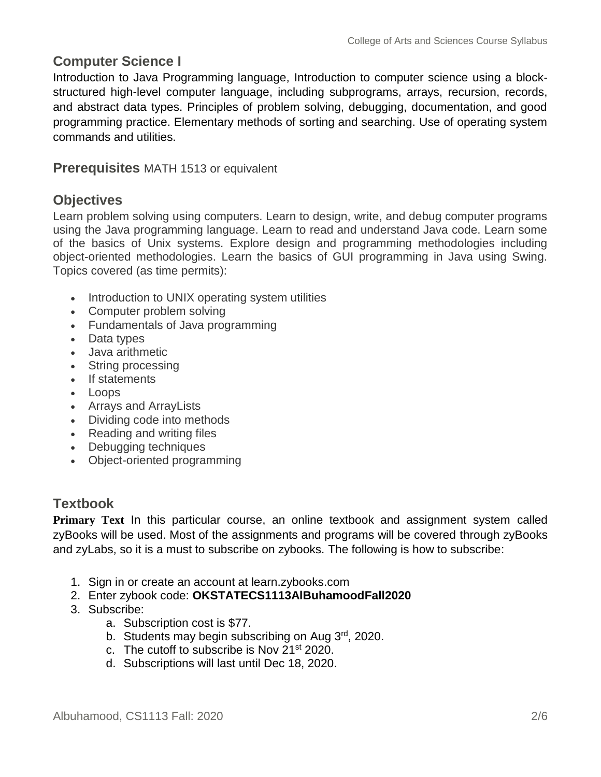## **Computer Science I**

Introduction to Java Programming language, Introduction to computer science using a blockstructured high-level computer language, including subprograms, arrays, recursion, records, and abstract data types. Principles of problem solving, debugging, documentation, and good programming practice. Elementary methods of sorting and searching. Use of operating system commands and utilities.

**Prerequisites** MATH 1513 or equivalent

## **Objectives**

Learn problem solving using computers. Learn to design, write, and debug computer programs using the Java programming language. Learn to read and understand Java code. Learn some of the basics of Unix systems. Explore design and programming methodologies including object-oriented methodologies. Learn the basics of GUI programming in Java using Swing. Topics covered (as time permits):

- Introduction to UNIX operating system utilities
- Computer problem solving
- Fundamentals of Java programming
- Data types
- Java arithmetic
- String processing
- If statements
- Loops
- Arrays and ArrayLists
- Dividing code into methods
- Reading and writing files
- Debugging techniques
- Object-oriented programming

#### **Textbook**

**Primary Text** In this particular course, an online textbook and assignment system called zyBooks will be used. Most of the assignments and programs will be covered through zyBooks and zyLabs, so it is a must to subscribe on zybooks. The following is how to subscribe:

- 1. Sign in or create an account at learn.zybooks.com
- 2. Enter zybook code: **OKSTATECS1113AlBuhamoodFall2020**
- 3. Subscribe:
	- a. Subscription cost is \$77.
	- b. Students may begin subscribing on Aug 3<sup>rd</sup>, 2020.
	- c. The cutoff to subscribe is Nov 21<sup>st</sup> 2020.
	- d. Subscriptions will last until Dec 18, 2020.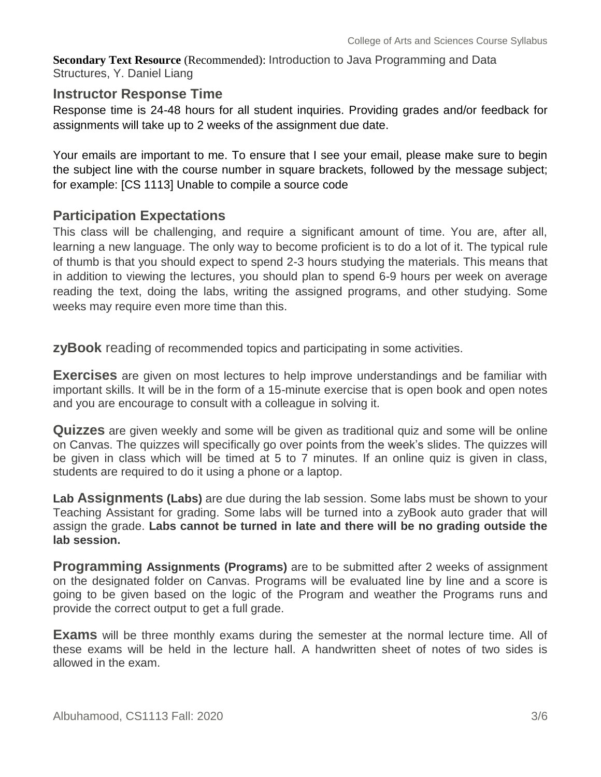**Secondary Text Resource** (Recommended): Introduction to Java Programming and Data Structures, Y. Daniel Liang

#### **Instructor Response Time**

Response time is 24-48 hours for all student inquiries. Providing grades and/or feedback for assignments will take up to 2 weeks of the assignment due date.

Your emails are important to me. To ensure that I see your email, please make sure to begin the subject line with the course number in square brackets, followed by the message subject; for example: [CS 1113] Unable to compile a source code

#### **Participation Expectations**

This class will be challenging, and require a significant amount of time. You are, after all, learning a new language. The only way to become proficient is to do a lot of it. The typical rule of thumb is that you should expect to spend 2-3 hours studying the materials. This means that in addition to viewing the lectures, you should plan to spend 6-9 hours per week on average reading the text, doing the labs, writing the assigned programs, and other studying. Some weeks may require even more time than this.

**zyBook** reading of recommended topics and participating in some activities.

**Exercises** are given on most lectures to help improve understandings and be familiar with important skills. It will be in the form of a 15-minute exercise that is open book and open notes and you are encourage to consult with a colleague in solving it.

**Quizzes** are given weekly and some will be given as traditional quiz and some will be online on Canvas. The quizzes will specifically go over points from the week's slides. The quizzes will be given in class which will be timed at 5 to 7 minutes. If an online quiz is given in class, students are required to do it using a phone or a laptop.

**Lab Assignments (Labs)** are due during the lab session. Some labs must be shown to your Teaching Assistant for grading. Some labs will be turned into a zyBook auto grader that will assign the grade. **Labs cannot be turned in late and there will be no grading outside the lab session.**

**Programming Assignments (Programs)** are to be submitted after 2 weeks of assignment on the designated folder on Canvas. Programs will be evaluated line by line and a score is going to be given based on the logic of the Program and weather the Programs runs and provide the correct output to get a full grade.

**Exams** will be three monthly exams during the semester at the normal lecture time. All of these exams will be held in the lecture hall. A handwritten sheet of notes of two sides is allowed in the exam.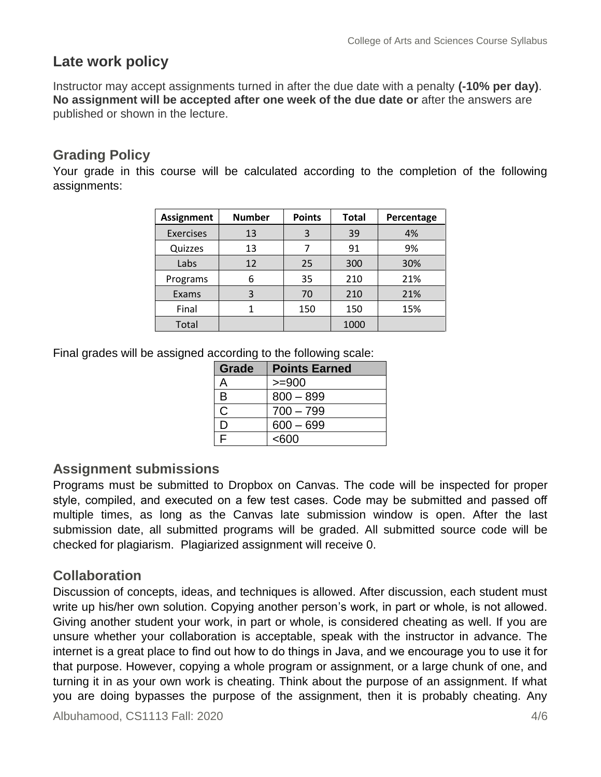# **Late work policy**

Instructor may accept assignments turned in after the due date with a penalty **(-10% per day)**. **No assignment will be accepted after one week of the due date or** after the answers are published or shown in the lecture.

## **Grading Policy**

Your grade in this course will be calculated according to the completion of the following assignments:

| <b>Assignment</b> | <b>Number</b> | <b>Points</b> | <b>Total</b> | Percentage |
|-------------------|---------------|---------------|--------------|------------|
| <b>Exercises</b>  | 13            | 3             | 39           | 4%         |
| Quizzes           | 13            | ᄀ             | 91           | 9%         |
| Labs              | 12            | 25            | 300          | 30%        |
| Programs          | 6             | 35            | 210          | 21%        |
| Exams             | 3             | 70            | 210          | 21%        |
| Final             | 1             | 150           | 150          | 15%        |
| Total             |               |               | 1000         |            |

Final grades will be assigned according to the following scale:

| Grade | <b>Points Earned</b> |
|-------|----------------------|
|       | $>= 900$             |
| B     | $800 - 899$          |
| C     | $700 - 799$          |
| נ ו   | $600 - 699$          |
| E     | <600                 |

#### **Assignment submissions**

Programs must be submitted to Dropbox on Canvas. The code will be inspected for proper style, compiled, and executed on a few test cases. Code may be submitted and passed off multiple times, as long as the Canvas late submission window is open. After the last submission date, all submitted programs will be graded. All submitted source code will be checked for plagiarism. Plagiarized assignment will receive 0.

# **Collaboration**

Discussion of concepts, ideas, and techniques is allowed. After discussion, each student must write up his/her own solution. Copying another person's work, in part or whole, is not allowed. Giving another student your work, in part or whole, is considered cheating as well. If you are unsure whether your collaboration is acceptable, speak with the instructor in advance. The internet is a great place to find out how to do things in Java, and we encourage you to use it for that purpose. However, copying a whole program or assignment, or a large chunk of one, and turning it in as your own work is cheating. Think about the purpose of an assignment. If what you are doing bypasses the purpose of the assignment, then it is probably cheating. Any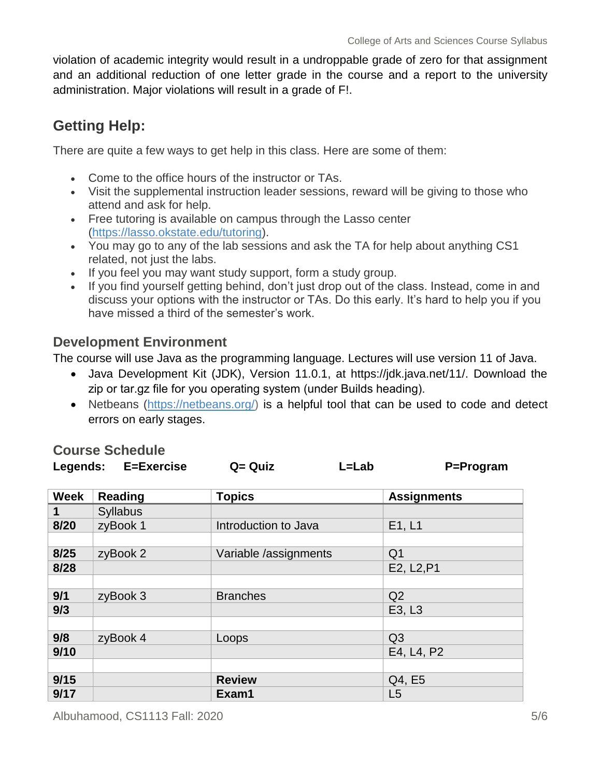violation of academic integrity would result in a undroppable grade of zero for that assignment and an additional reduction of one letter grade in the course and a report to the university administration. Major violations will result in a grade of F!.

# **Getting Help:**

There are quite a few ways to get help in this class. Here are some of them:

- Come to the office hours of the instructor or TAs.
- Visit the supplemental instruction leader sessions, reward will be giving to those who attend and ask for help.
- Free tutoring is available on campus through the Lasso center [\(https://lasso.okstate.edu/tutoring\)](https://lasso.okstate.edu/tutoring).
- You may go to any of the lab sessions and ask the TA for help about anything CS1 related, not just the labs.
- If you feel you may want study support, form a study group.
- If you find yourself getting behind, don't just drop out of the class. Instead, come in and discuss your options with the instructor or TAs. Do this early. It's hard to help you if you have missed a third of the semester's work.

## **Development Environment**

The course will use Java as the programming language. Lectures will use version 11 of Java.

- Java Development Kit (JDK), Version 11.0.1, at https://jdk.java.net/11/. Download the zip or tar.gz file for you operating system (under Builds heading).
- Netbeans [\(https://netbeans.org/\)](https://netbeans.org/) is a helpful tool that can be used to code and detect errors on early stages.

|             | Legends: E=Exercise | $Q = Q$ uiz<br>L=Lab  | P=Program          |
|-------------|---------------------|-----------------------|--------------------|
|             |                     |                       |                    |
| <b>Week</b> | <b>Reading</b>      | <b>Topics</b>         | <b>Assignments</b> |
|             | <b>Syllabus</b>     |                       |                    |
| 8/20        | zyBook 1            | Introduction to Java  | E1, L1             |
|             |                     |                       |                    |
| 8/25        | zyBook 2            | Variable /assignments | Q <sub>1</sub>     |
| 8/28        |                     |                       | E2, L2, P1         |
|             |                     |                       |                    |
| 9/1         | zyBook 3            | <b>Branches</b>       | Q2                 |
| 9/3         |                     |                       | E3, L3             |
|             |                     |                       |                    |
| 9/8         | zyBook 4            | Loops                 | Q <sub>3</sub>     |
| 9/10        |                     |                       | E4, L4, P2         |
|             |                     |                       |                    |
| 9/15        |                     | <b>Review</b>         | Q4, E5             |
| 9/17        |                     | Exam1                 | L5                 |

#### **Course Schedule**